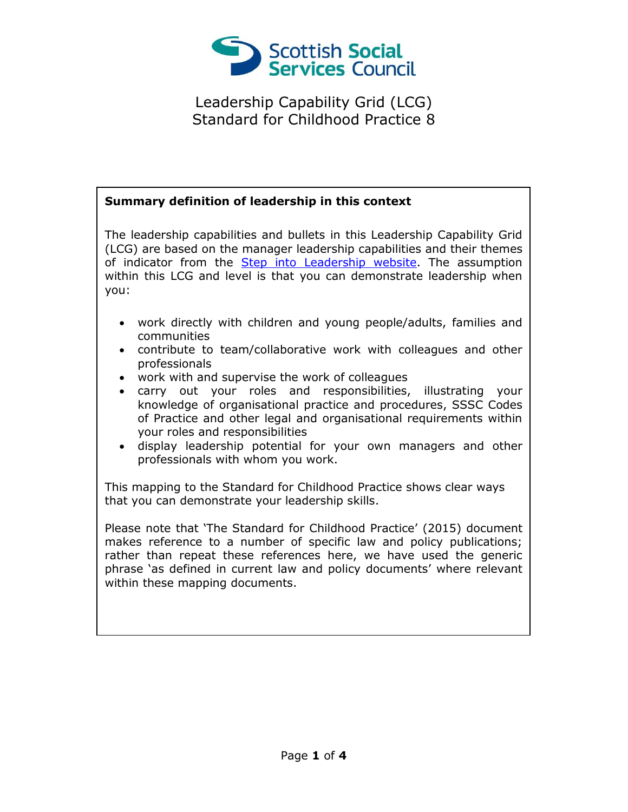

## **Summary definition of leadership in this context**

The leadership capabilities and bullets in this Leadership Capability Grid (LCG) are based on the manager leadership capabilities and their themes of indicator from the [Step into Leadership website.](http://www.stepintoleadership.info/) The assumption within this LCG and level is that you can demonstrate leadership when you:

- work directly with children and young people/adults, families and communities
- contribute to team/collaborative work with colleagues and other professionals
- work with and supervise the work of colleagues
- carry out your roles and responsibilities, illustrating your knowledge of organisational practice and procedures, SSSC Codes of Practice and other legal and organisational requirements within your roles and responsibilities
- display leadership potential for your own managers and other professionals with whom you work.

This mapping to the Standard for Childhood Practice shows clear ways that you can demonstrate your leadership skills.

Please note that 'The Standard for Childhood Practice' (2015) document makes reference to a number of specific law and policy publications; rather than repeat these references here, we have used the generic phrase 'as defined in current law and policy documents' where relevant within these mapping documents.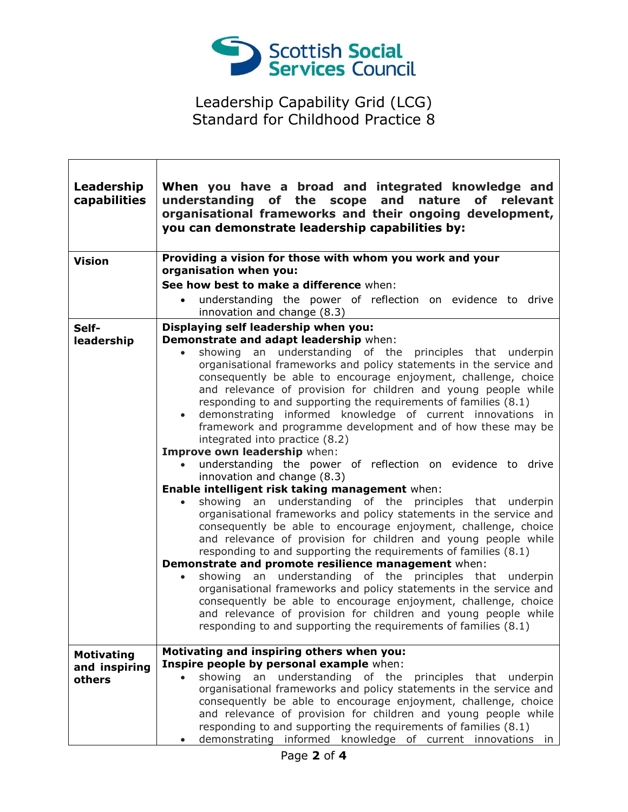

٦

| Leadership<br>capabilities                   | When you have a broad and integrated knowledge and<br>understanding of the scope and nature of relevant<br>organisational frameworks and their ongoing development,<br>you can demonstrate leadership capabilities by:                                                                                                                                                                                                                                                                                                                                                            |
|----------------------------------------------|-----------------------------------------------------------------------------------------------------------------------------------------------------------------------------------------------------------------------------------------------------------------------------------------------------------------------------------------------------------------------------------------------------------------------------------------------------------------------------------------------------------------------------------------------------------------------------------|
| <b>Vision</b>                                | Providing a vision for those with whom you work and your<br>organisation when you:                                                                                                                                                                                                                                                                                                                                                                                                                                                                                                |
|                                              | See how best to make a difference when:                                                                                                                                                                                                                                                                                                                                                                                                                                                                                                                                           |
|                                              | understanding the power of reflection on evidence to drive<br>$\bullet$                                                                                                                                                                                                                                                                                                                                                                                                                                                                                                           |
|                                              | innovation and change (8.3)                                                                                                                                                                                                                                                                                                                                                                                                                                                                                                                                                       |
| Self-<br>leadership                          | Displaying self leadership when you:<br>Demonstrate and adapt leadership when:                                                                                                                                                                                                                                                                                                                                                                                                                                                                                                    |
|                                              | showing an understanding of the principles that underpin<br>$\bullet$<br>organisational frameworks and policy statements in the service and<br>consequently be able to encourage enjoyment, challenge, choice<br>and relevance of provision for children and young people while<br>responding to and supporting the requirements of families (8.1)<br>demonstrating informed knowledge of current innovations in<br>$\bullet$<br>framework and programme development and of how these may be<br>integrated into practice (8.2)                                                    |
|                                              | Improve own leadership when:                                                                                                                                                                                                                                                                                                                                                                                                                                                                                                                                                      |
|                                              | understanding the power of reflection on evidence to drive                                                                                                                                                                                                                                                                                                                                                                                                                                                                                                                        |
|                                              | innovation and change (8.3)                                                                                                                                                                                                                                                                                                                                                                                                                                                                                                                                                       |
|                                              | Enable intelligent risk taking management when:<br>showing an understanding of the principles that underpin<br>organisational frameworks and policy statements in the service and<br>consequently be able to encourage enjoyment, challenge, choice<br>and relevance of provision for children and young people while<br>responding to and supporting the requirements of families (8.1)<br>Demonstrate and promote resilience management when:<br>showing an understanding of the principles that underpin<br>organisational frameworks and policy statements in the service and |
|                                              | consequently be able to encourage enjoyment, challenge, choice<br>and relevance of provision for children and young people while<br>responding to and supporting the requirements of families (8.1)                                                                                                                                                                                                                                                                                                                                                                               |
| <b>Motivating</b><br>and inspiring<br>others | Motivating and inspiring others when you:<br>Inspire people by personal example when:<br>showing an understanding of the principles that underpin<br>$\bullet$<br>organisational frameworks and policy statements in the service and<br>consequently be able to encourage enjoyment, challenge, choice<br>and relevance of provision for children and young people while<br>responding to and supporting the requirements of families (8.1)<br>demonstrating informed knowledge of current innovations in                                                                         |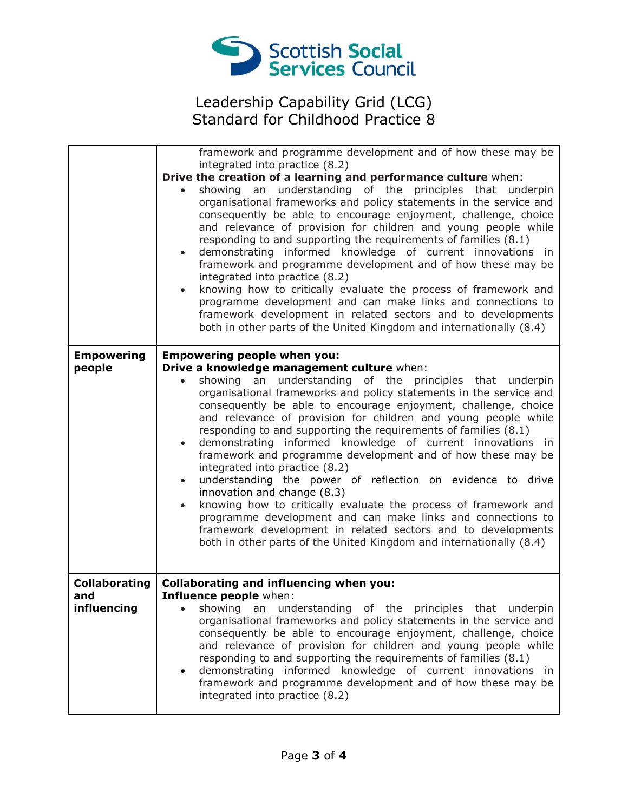

|                      | framework and programme development and of how these may be<br>integrated into practice (8.2)                                                                                                                                                                                                                                                                                                                                                                                                                                                                                                                                                                                                                                                                                                                                                                                                                                                                                |
|----------------------|------------------------------------------------------------------------------------------------------------------------------------------------------------------------------------------------------------------------------------------------------------------------------------------------------------------------------------------------------------------------------------------------------------------------------------------------------------------------------------------------------------------------------------------------------------------------------------------------------------------------------------------------------------------------------------------------------------------------------------------------------------------------------------------------------------------------------------------------------------------------------------------------------------------------------------------------------------------------------|
|                      | Drive the creation of a learning and performance culture when:                                                                                                                                                                                                                                                                                                                                                                                                                                                                                                                                                                                                                                                                                                                                                                                                                                                                                                               |
|                      | showing an understanding of the principles that underpin<br>$\bullet$<br>organisational frameworks and policy statements in the service and<br>consequently be able to encourage enjoyment, challenge, choice<br>and relevance of provision for children and young people while<br>responding to and supporting the requirements of families (8.1)<br>demonstrating informed knowledge of current innovations in<br>$\bullet$<br>framework and programme development and of how these may be<br>integrated into practice (8.2)<br>knowing how to critically evaluate the process of framework and<br>$\bullet$<br>programme development and can make links and connections to<br>framework development in related sectors and to developments<br>both in other parts of the United Kingdom and internationally (8.4)                                                                                                                                                         |
| <b>Empowering</b>    | <b>Empowering people when you:</b>                                                                                                                                                                                                                                                                                                                                                                                                                                                                                                                                                                                                                                                                                                                                                                                                                                                                                                                                           |
| people               | Drive a knowledge management culture when:<br>showing an understanding of the principles that underpin<br>$\bullet$<br>organisational frameworks and policy statements in the service and<br>consequently be able to encourage enjoyment, challenge, choice<br>and relevance of provision for children and young people while<br>responding to and supporting the requirements of families (8.1)<br>demonstrating informed knowledge of current innovations in<br>$\bullet$<br>framework and programme development and of how these may be<br>integrated into practice (8.2)<br>understanding the power of reflection on evidence to drive<br>$\bullet$<br>innovation and change (8.3)<br>knowing how to critically evaluate the process of framework and<br>$\bullet$<br>programme development and can make links and connections to<br>framework development in related sectors and to developments<br>both in other parts of the United Kingdom and internationally (8.4) |
| <b>Collaborating</b> | Collaborating and influencing when you:                                                                                                                                                                                                                                                                                                                                                                                                                                                                                                                                                                                                                                                                                                                                                                                                                                                                                                                                      |
| and<br>influencing   | Influence people when:<br>• showing an understanding of the principles that underpin                                                                                                                                                                                                                                                                                                                                                                                                                                                                                                                                                                                                                                                                                                                                                                                                                                                                                         |
|                      | organisational frameworks and policy statements in the service and<br>consequently be able to encourage enjoyment, challenge, choice<br>and relevance of provision for children and young people while<br>responding to and supporting the requirements of families (8.1)<br>demonstrating informed knowledge of current innovations in<br>framework and programme development and of how these may be<br>integrated into practice (8.2)                                                                                                                                                                                                                                                                                                                                                                                                                                                                                                                                     |